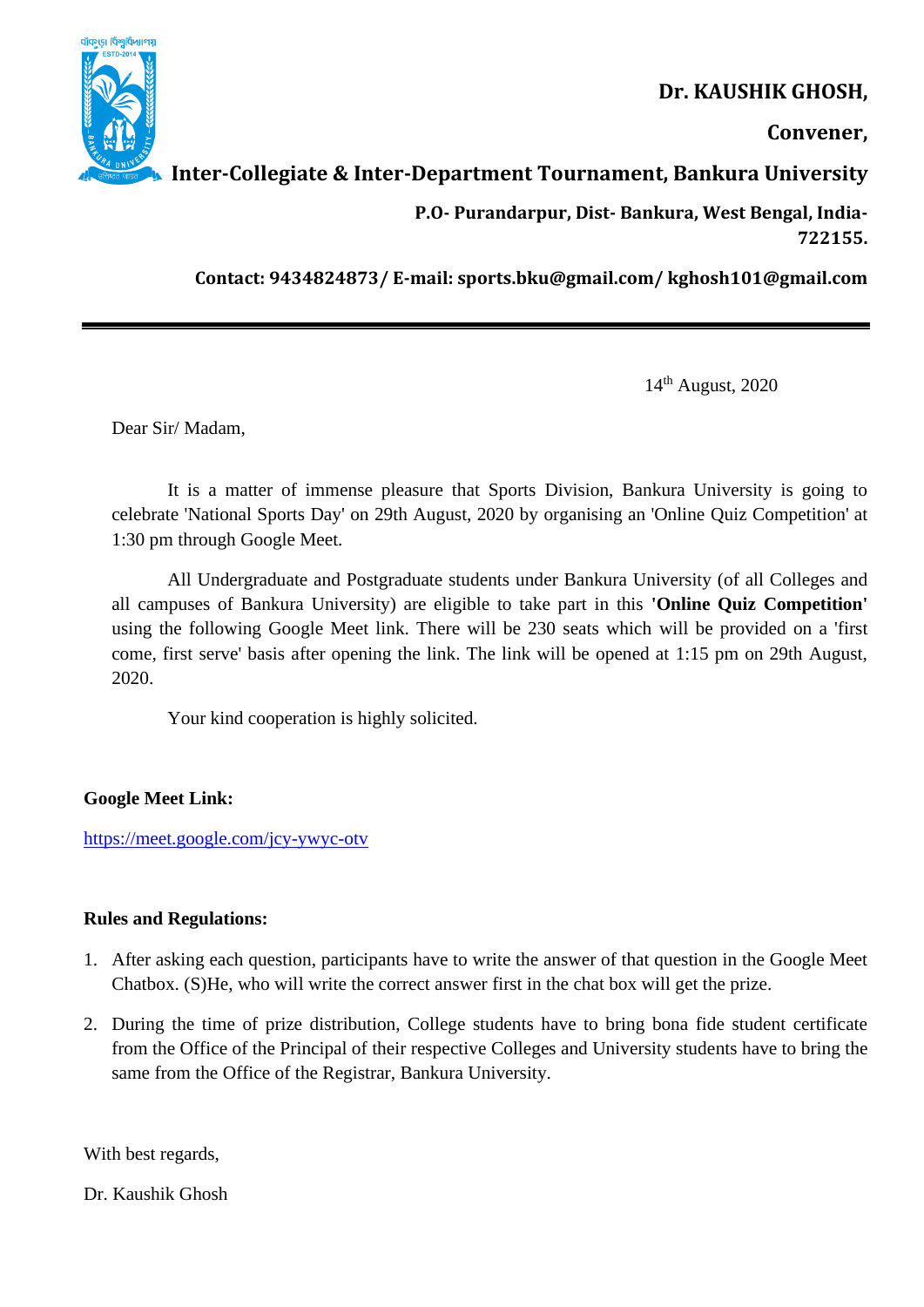

# **Dr. KAUSHIK GHOSH,**

**Convener,** 

## **Inter-Collegiate & Inter-Department Tournament, Bankura University**

 **P.O- Purandarpur, Dist- Bankura, West Bengal, India-722155.** 

**Contact: 9434824873/ E-mail: sports.bku@gmail.com/ kghosh101@gmail.com**

14 th August, 2020

Dear Sir/ Madam,

It is a matter of immense pleasure that Sports Division, Bankura University is going to celebrate 'National Sports Day' on 29th August, 2020 by organising an 'Online Quiz Competition' at 1:30 pm through Google Meet.

All Undergraduate and Postgraduate students under Bankura University (of all Colleges and all campuses of Bankura University) are eligible to take part in this **'Online Quiz Competition'** using the following Google Meet link. There will be 230 seats which will be provided on a 'first come, first serve' basis after opening the link. The link will be opened at 1:15 pm on 29th August, 2020.

Your kind cooperation is highly solicited.

**Google Meet Link:**

<https://meet.google.com/jcy-ywyc-otv>

### **Rules and Regulations:**

- 1. After asking each question, participants have to write the answer of that question in the Google Meet Chatbox. (S)He, who will write the correct answer first in the chat box will get the prize.
- 2. During the time of prize distribution, College students have to bring bona fide student certificate from the Office of the Principal of their respective Colleges and University students have to bring the same from the Office of the Registrar, Bankura University.

With best regards,

Dr. Kaushik Ghosh